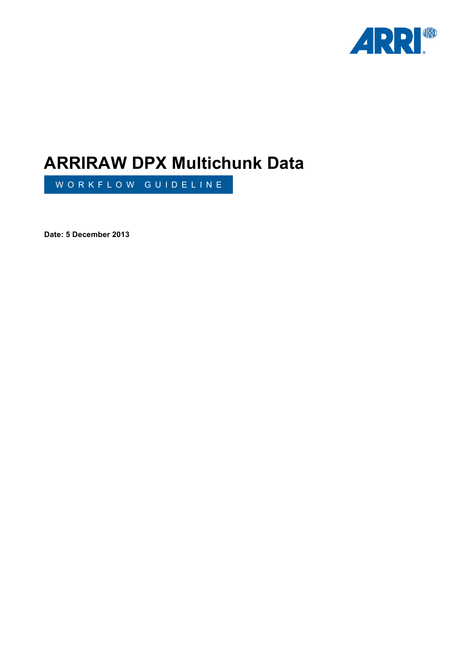

# **ARRIRAW DPX Multichunk Data**

WORKFLOW GUIDELINE

**Date: 5 December 2013**